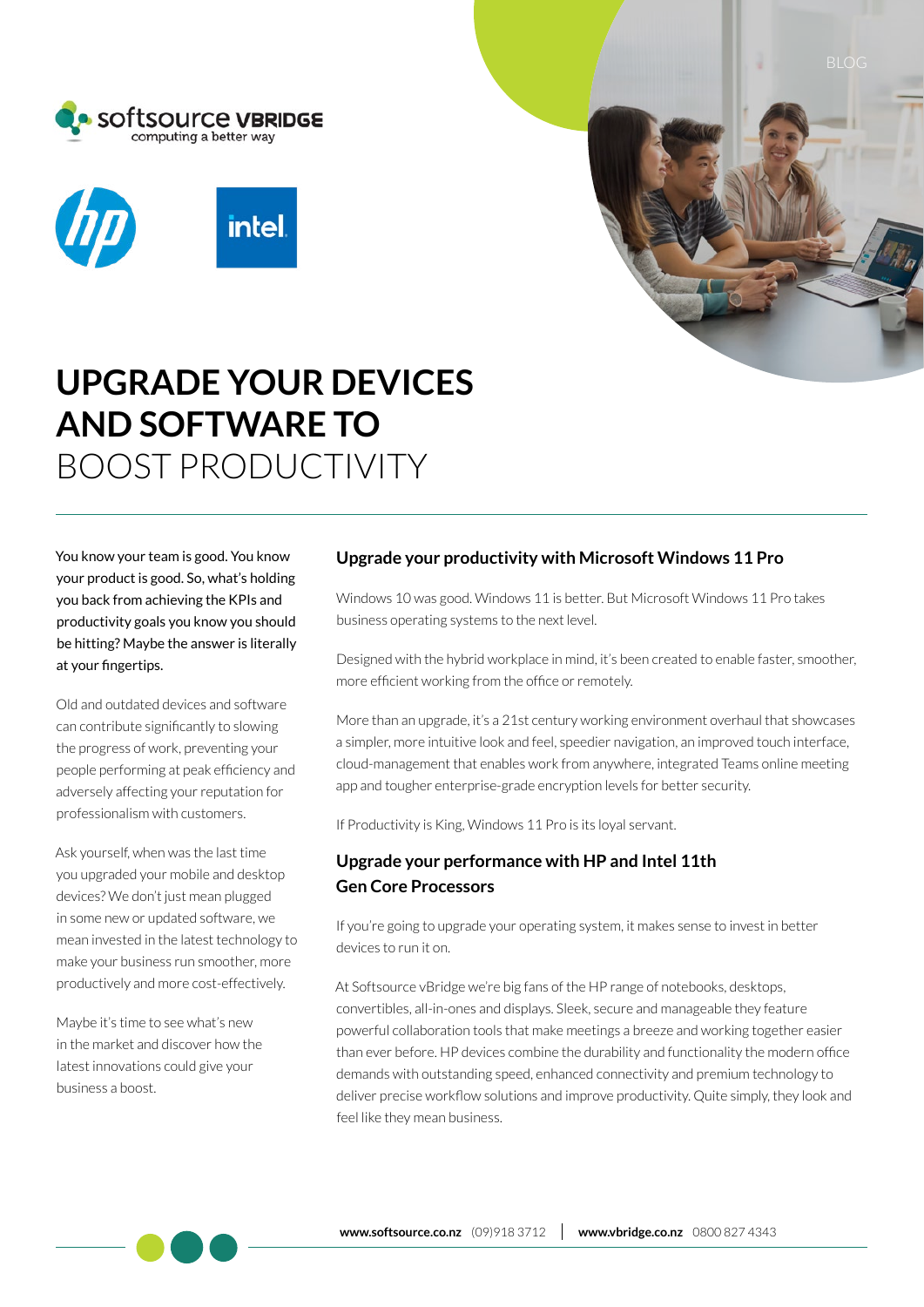





# **UPGRADE YOUR DEVICES AND SOFTWARE TO** BOOST PRODUCTIVITY

You know your team is good. You know your product is good. So, what's holding you back from achieving the KPIs and productivity goals you know you should be hitting? Maybe the answer is literally at your fingertips.

Old and outdated devices and software can contribute significantly to slowing the progress of work, preventing your people performing at peak efficiency and adversely affecting your reputation for professionalism with customers.

Ask yourself, when was the last time you upgraded your mobile and desktop devices? We don't just mean plugged in some new or updated software, we mean invested in the latest technology to make your business run smoother, more productively and more cost-effectively.

Maybe it's time to see what's new in the market and discover how the latest innovations could give your business a boost.

## **Upgrade your productivity with Microsoft Windows 11 Pro**

Windows 10 was good. Windows 11 is better. But Microsoft Windows 11 Pro takes business operating systems to the next level.

Designed with the hybrid workplace in mind, it's been created to enable faster, smoother, more efficient working from the office or remotely.

More than an upgrade, it's a 21st century working environment overhaul that showcases a simpler, more intuitive look and feel, speedier navigation, an improved touch interface, cloud-management that enables work from anywhere, integrated Teams online meeting app and tougher enterprise-grade encryption levels for better security.

If Productivity is King, Windows 11 Pro is its loyal servant.

## **Upgrade your performance with HP and Intel 11th Gen Core Processors**

If you're going to upgrade your operating system, it makes sense to invest in better devices to run it on.

At Softsource vBridge we're big fans of the HP range of notebooks, desktops, convertibles, all-in-ones and displays. Sleek, secure and manageable they feature powerful collaboration tools that make meetings a breeze and working together easier than ever before. HP devices combine the durability and functionality the modern office demands with outstanding speed, enhanced connectivity and premium technology to deliver precise workflow solutions and improve productivity. Quite simply, they look and feel like they mean business.